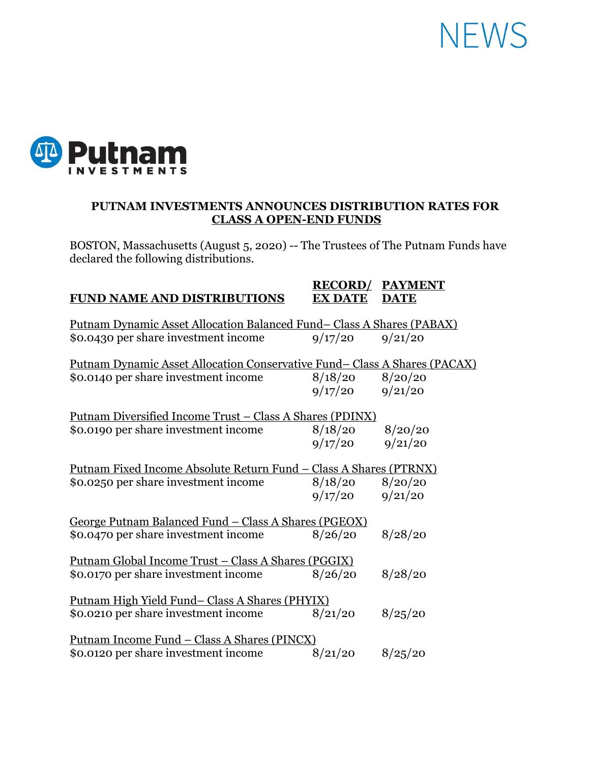## **NEWS**



## **PUTNAM INVESTMENTS ANNOUNCES DISTRIBUTION RATES FOR CLASS A OPEN-END FUNDS**

BOSTON, Massachusetts (August 5, 2020) -- The Trustees of The Putnam Funds have declared the following distributions.

| <b>FUND NAME AND DISTRIBUTIONS</b>                                        | <b>RECORD/</b><br><b>EX DATE</b> | <b>PAYMENT</b><br><b>DATE</b> |
|---------------------------------------------------------------------------|----------------------------------|-------------------------------|
|                                                                           |                                  |                               |
| Putnam Dynamic Asset Allocation Balanced Fund-Class A Shares (PABAX)      |                                  |                               |
| \$0.0430 per share investment income                                      | 9/17/20                          | 9/21/20                       |
| Putnam Dynamic Asset Allocation Conservative Fund–Class A Shares (PACAX)  |                                  |                               |
| \$0.0140 per share investment income                                      | 8/18/20                          | 8/20/20                       |
|                                                                           | 9/17/20                          | 9/21/20                       |
| <u> Putnam Diversified Income Trust – Class A Shares (PDINX)</u>          |                                  |                               |
| \$0.0190 per share investment income                                      | 8/18/20                          | 8/20/20                       |
|                                                                           | 9/17/20                          | 9/21/20                       |
| <u> Putnam Fixed Income Absolute Return Fund – Class A Shares (PTRNX)</u> |                                  |                               |
| \$0.0250 per share investment income                                      | 8/18/20                          | 8/20/20                       |
|                                                                           | 9/17/20                          | 9/21/20                       |
| George Putnam Balanced Fund - Class A Shares (PGEOX)                      |                                  |                               |
| \$0.0470 per share investment income                                      | 8/26/20                          | 8/28/20                       |
| <u> Putnam Global Income Trust – Class A Shares (PGGIX)</u>               |                                  |                               |
| \$0.0170 per share investment income                                      | 8/26/20                          | 8/28/20                       |
| <u>Putnam High Yield Fund– Class A Shares (PHYIX)</u>                     |                                  |                               |
| \$0.0210 per share investment income                                      | 8/21/20                          | 8/25/20                       |
| <u> Putnam Income Fund – Class A Shares (PINCX)</u>                       |                                  |                               |
| \$0.0120 per share investment income                                      | 8/21/20                          | 8/25/20                       |